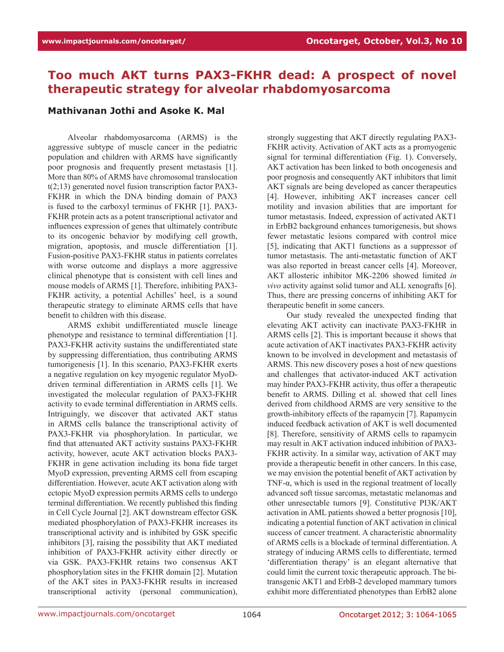## **Too much AKT turns PAX3-FKHR dead: A prospect of novel therapeutic strategy for alveolar rhabdomyosarcoma**

## **Mathivanan Jothi and Asoke K. Mal**

Alveolar rhabdomyosarcoma (ARMS) is the aggressive subtype of muscle cancer in the pediatric population and children with ARMS have significantly poor prognosis and frequently present metastasis [1]. More than 80% of ARMS have chromosomal translocation t(2;13) generated novel fusion transcription factor PAX3- FKHR in which the DNA binding domain of PAX3 is fused to the carboxyl terminus of FKHR [1]. PAX3- FKHR protein acts as a potent transcriptional activator and influences expression of genes that ultimately contribute to its oncogenic behavior by modifying cell growth, migration, apoptosis, and muscle differentiation [1]. Fusion-positive PAX3-FKHR status in patients correlates with worse outcome and displays a more aggressive clinical phenotype that is consistent with cell lines and mouse models of ARMS [1]. Therefore, inhibiting PAX3- FKHR activity, a potential Achilles' heel, is a sound therapeutic strategy to eliminate ARMS cells that have benefit to children with this disease.

ARMS exhibit undifferentiated muscle lineage phenotype and resistance to terminal differentiation [1]. PAX3-FKHR activity sustains the undifferentiated state by suppressing differentiation, thus contributing ARMS tumorigenesis [1]. In this scenario, PAX3-FKHR exerts a negative regulation on key myogenic regulator MyoDdriven terminal differentiation in ARMS cells [1]. We investigated the molecular regulation of PAX3-FKHR activity to evade terminal differentiation in ARMS cells. Intriguingly, we discover that activated AKT status in ARMS cells balance the transcriptional activity of PAX3-FKHR via phosphorylation. In particular, we find that attenuated AKT activity sustains PAX3-FKHR activity, however, acute AKT activation blocks PAX3- FKHR in gene activation including its bona fide target MyoD expression, preventing ARMS cell from escaping differentiation. However, acute AKT activation along with ectopic MyoD expression permits ARMS cells to undergo terminal differentiation. We recently published this finding in Cell Cycle Journal [2]. AKT downstream effector GSK mediated phosphorylation of PAX3-FKHR increases its transcriptional activity and is inhibited by GSK specific inhibitors [3], raising the possibility that AKT mediated inhibition of PAX3-FKHR activity either directly or via GSK. PAX3-FKHR retains two consensus AKT phosphorylation sites in the FKHR domain [2]. Mutation of the AKT sites in PAX3-FKHR results in increased transcriptional activity (personal communication), strongly suggesting that AKT directly regulating PAX3- FKHR activity. Activation of AKT acts as a promyogenic signal for terminal differentiation (Fig. 1). Conversely, AKT activation has been linked to both oncogenesis and poor prognosis and consequently AKT inhibitors that limit AKT signals are being developed as cancer therapeutics [4]. However, inhibiting AKT increases cancer cell motility and invasion abilities that are important for tumor metastasis. Indeed, expression of activated AKT1 in ErbB2 background enhances tumorigenesis, but shows fewer metastatic lesions compared with control mice [5], indicating that AKT1 functions as a suppressor of tumor metastasis. The anti-metastatic function of AKT was also reported in breast cancer cells [4]. Moreover, AKT allosteric inhibitor MK-2206 showed limited *in vivo* activity against solid tumor and ALL xenografts [6]. Thus, there are pressing concerns of inhibiting AKT for therapeutic benefit in some cancers.

Our study revealed the unexpected finding that elevating AKT activity can inactivate PAX3-FKHR in ARMS cells [2]. This is important because it shows that acute activation of AKT inactivates PAX3-FKHR activity known to be involved in development and metastasis of ARMS. This new discovery poses a host of new questions and challenges that activator-induced AKT activation may hinder PAX3-FKHR activity, thus offer a therapeutic benefit to ARMS. Dilling et al. showed that cell lines derived from childhood ARMS are very sensitive to the growth-inhibitory effects of the rapamycin [7]. Rapamycin induced feedback activation of AKT is well documented [8]. Therefore, sensitivity of ARMS cells to rapamycin may result in AKT activation induced inhibition of PAX3- FKHR activity. In a similar way, activation of AKT may provide a therapeutic benefit in other cancers. In this case, we may envision the potential benefit of AKT activation by TNF-α, which is used in the regional treatment of locally advanced soft tissue sarcomas, metastatic melanomas and other unresectable tumors [9]. Constitutive PI3K/AKT activation in AML patients showed a better prognosis [10], indicating a potential function of AKT activation in clinical success of cancer treatment. A characteristic abnormality of ARMS cells is a blockade of terminal differentiation. A strategy of inducing ARMS cells to differentiate, termed 'differentiation therapy' is an elegant alternative that could limit the current toxic therapeutic approach. The bitransgenic AKT1 and ErbB-2 developed mammary tumors exhibit more differentiated phenotypes than ErbB2 alone